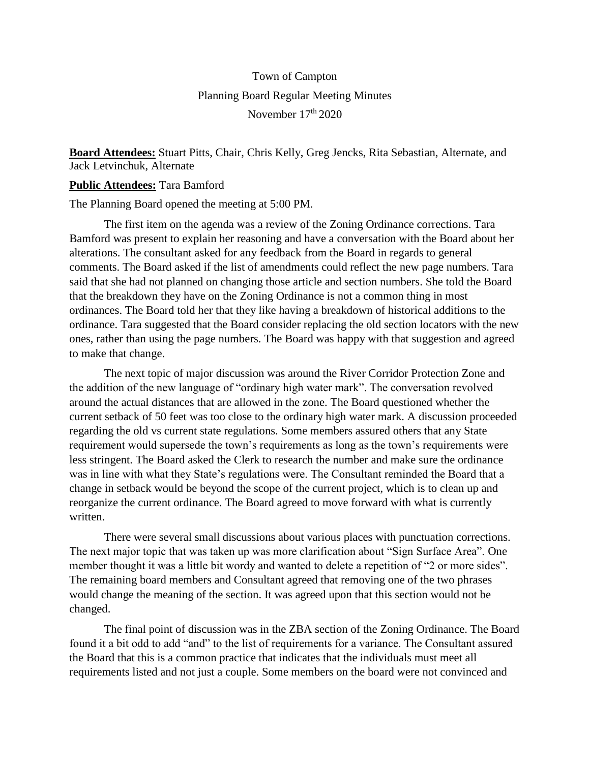## Town of Campton Planning Board Regular Meeting Minutes November 17<sup>th</sup> 2020

**Board Attendees:** Stuart Pitts, Chair, Chris Kelly, Greg Jencks, Rita Sebastian, Alternate, and Jack Letvinchuk, Alternate

## **Public Attendees:** Tara Bamford

The Planning Board opened the meeting at 5:00 PM.

The first item on the agenda was a review of the Zoning Ordinance corrections. Tara Bamford was present to explain her reasoning and have a conversation with the Board about her alterations. The consultant asked for any feedback from the Board in regards to general comments. The Board asked if the list of amendments could reflect the new page numbers. Tara said that she had not planned on changing those article and section numbers. She told the Board that the breakdown they have on the Zoning Ordinance is not a common thing in most ordinances. The Board told her that they like having a breakdown of historical additions to the ordinance. Tara suggested that the Board consider replacing the old section locators with the new ones, rather than using the page numbers. The Board was happy with that suggestion and agreed to make that change.

The next topic of major discussion was around the River Corridor Protection Zone and the addition of the new language of "ordinary high water mark". The conversation revolved around the actual distances that are allowed in the zone. The Board questioned whether the current setback of 50 feet was too close to the ordinary high water mark. A discussion proceeded regarding the old vs current state regulations. Some members assured others that any State requirement would supersede the town's requirements as long as the town's requirements were less stringent. The Board asked the Clerk to research the number and make sure the ordinance was in line with what they State's regulations were. The Consultant reminded the Board that a change in setback would be beyond the scope of the current project, which is to clean up and reorganize the current ordinance. The Board agreed to move forward with what is currently written.

There were several small discussions about various places with punctuation corrections. The next major topic that was taken up was more clarification about "Sign Surface Area". One member thought it was a little bit wordy and wanted to delete a repetition of "2 or more sides". The remaining board members and Consultant agreed that removing one of the two phrases would change the meaning of the section. It was agreed upon that this section would not be changed.

The final point of discussion was in the ZBA section of the Zoning Ordinance. The Board found it a bit odd to add "and" to the list of requirements for a variance. The Consultant assured the Board that this is a common practice that indicates that the individuals must meet all requirements listed and not just a couple. Some members on the board were not convinced and